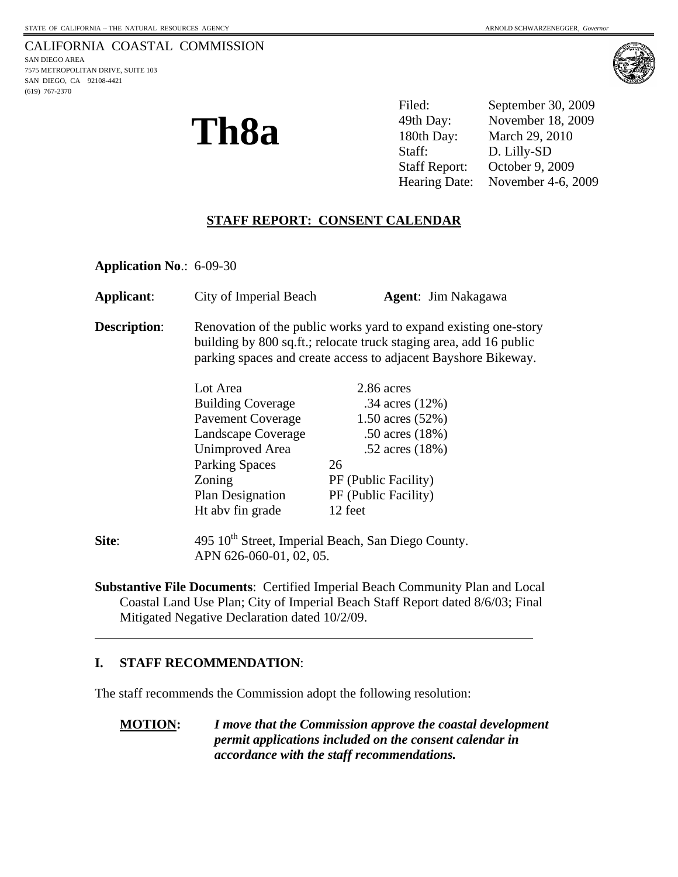(619) 767-2370





Filed: September 30, 2009 49th Day: November 18, 2009 180th Day: March 29, 2010 Staff: D. Lilly-SD Staff Report: October 9, 2009 Hearing Date: November 4-6, 2009

### **STAFF REPORT: CONSENT CALENDAR**

**Application No**.: 6-09-30

| Applicant:          | City of Imperial Beach                                                                                                                                                                                   | <b>Agent:</b> Jim Nakagawa |
|---------------------|----------------------------------------------------------------------------------------------------------------------------------------------------------------------------------------------------------|----------------------------|
| <b>Description:</b> | Renovation of the public works yard to expand existing one-story<br>building by 800 sq.ft.; relocate truck staging area, add 16 public<br>parking spaces and create access to adjacent Bayshore Bikeway. |                            |
|                     | Lot Area                                                                                                                                                                                                 | 2.86 acres                 |
|                     | <b>Building Coverage</b>                                                                                                                                                                                 | .34 acres $(12%)$          |
|                     | <b>Pavement Coverage</b>                                                                                                                                                                                 | 1.50 acres $(52%)$         |
|                     | Landscape Coverage                                                                                                                                                                                       | .50 acres $(18%)$          |
|                     | <b>Unimproved Area</b>                                                                                                                                                                                   | .52 acres $(18%)$          |
|                     | <b>Parking Spaces</b>                                                                                                                                                                                    | 26                         |
|                     | Zoning                                                                                                                                                                                                   | PF (Public Facility)       |
|                     | <b>Plan Designation</b>                                                                                                                                                                                  | PF (Public Facility)       |
|                     | Ht abv fin grade                                                                                                                                                                                         | 12 feet                    |
| Site:               | 495 10 <sup>th</sup> Street, Imperial Beach, San Diego County.<br>APN 626-060-01, 02, 05.                                                                                                                |                            |

**Substantive File Documents**: Certified Imperial Beach Community Plan and Local Coastal Land Use Plan; City of Imperial Beach Staff Report dated 8/6/03; Final Mitigated Negative Declaration dated 10/2/09.

#### **I. STAFF RECOMMENDATION**:

 $\overline{a}$ 

The staff recommends the Commission adopt the following resolution:

**MOTION:** *I move that the Commission approve the coastal development permit applications included on the consent calendar in accordance with the staff recommendations.*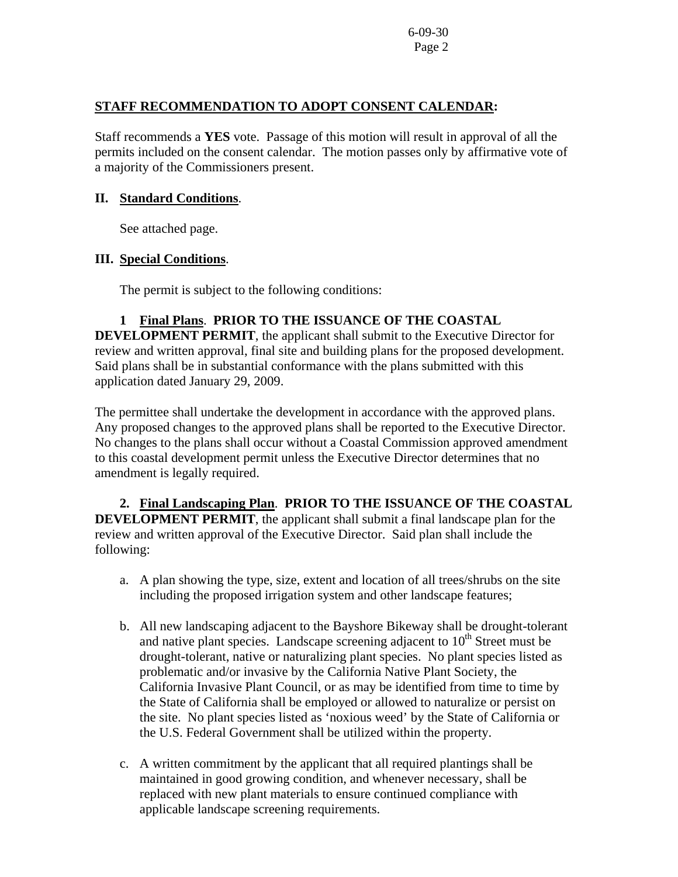#### **STAFF RECOMMENDATION TO ADOPT CONSENT CALENDAR:**

Staff recommends a **YES** vote. Passage of this motion will result in approval of all the permits included on the consent calendar. The motion passes only by affirmative vote of a majority of the Commissioners present.

#### **II. Standard Conditions**.

See attached page.

## **III. Special Conditions**.

The permit is subject to the following conditions:

# **1 Final Plans**. **PRIOR TO THE ISSUANCE OF THE COASTAL**

**DEVELOPMENT PERMIT**, the applicant shall submit to the Executive Director for review and written approval, final site and building plans for the proposed development. Said plans shall be in substantial conformance with the plans submitted with this application dated January 29, 2009.

The permittee shall undertake the development in accordance with the approved plans. Any proposed changes to the approved plans shall be reported to the Executive Director. No changes to the plans shall occur without a Coastal Commission approved amendment to this coastal development permit unless the Executive Director determines that no amendment is legally required.

 **2. Final Landscaping Plan**. **PRIOR TO THE ISSUANCE OF THE COASTAL DEVELOPMENT PERMIT**, the applicant shall submit a final landscape plan for the review and written approval of the Executive Director. Said plan shall include the following:

- a. A plan showing the type, size, extent and location of all trees/shrubs on the site including the proposed irrigation system and other landscape features;
- b. All new landscaping adjacent to the Bayshore Bikeway shall be drought-tolerant and native plant species. Landscape screening adjacent to  $10<sup>th</sup>$  Street must be drought-tolerant, native or naturalizing plant species. No plant species listed as problematic and/or invasive by the California Native Plant Society, the California Invasive Plant Council, or as may be identified from time to time by the State of California shall be employed or allowed to naturalize or persist on the site. No plant species listed as 'noxious weed' by the State of California or the U.S. Federal Government shall be utilized within the property.
- c. A written commitment by the applicant that all required plantings shall be maintained in good growing condition, and whenever necessary, shall be replaced with new plant materials to ensure continued compliance with applicable landscape screening requirements.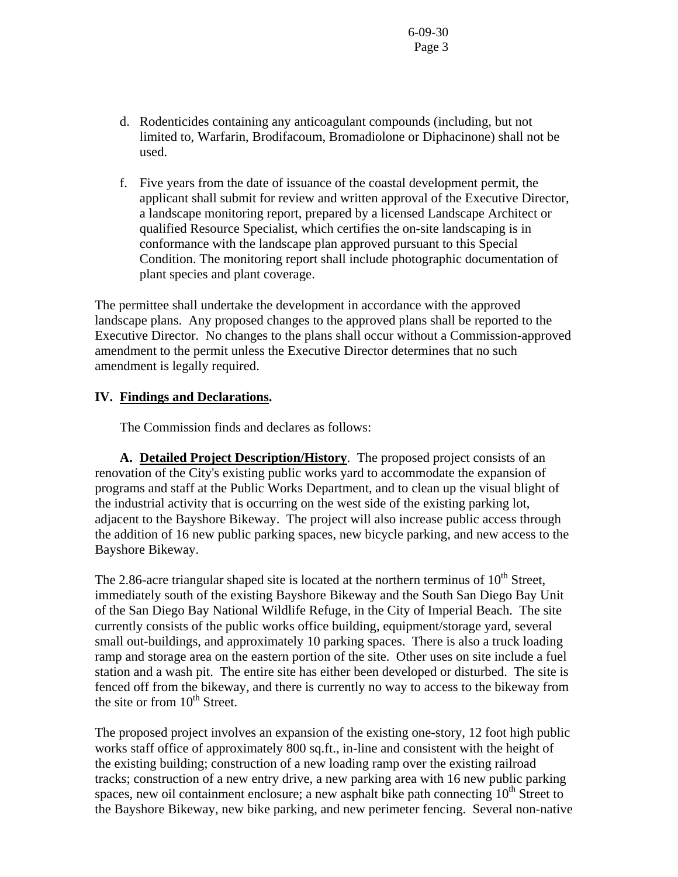- d. Rodenticides containing any anticoagulant compounds (including, but not limited to, Warfarin, Brodifacoum, Bromadiolone or Diphacinone) shall not be used.
- f. Five years from the date of issuance of the coastal development permit, the applicant shall submit for review and written approval of the Executive Director, a landscape monitoring report, prepared by a licensed Landscape Architect or qualified Resource Specialist, which certifies the on-site landscaping is in conformance with the landscape plan approved pursuant to this Special Condition. The monitoring report shall include photographic documentation of plant species and plant coverage.

The permittee shall undertake the development in accordance with the approved landscape plans. Any proposed changes to the approved plans shall be reported to the Executive Director. No changes to the plans shall occur without a Commission-approved amendment to the permit unless the Executive Director determines that no such amendment is legally required.

## **IV. Findings and Declarations.**

The Commission finds and declares as follows:

**A. Detailed Project Description/History**. The proposed project consists of an renovation of the City's existing public works yard to accommodate the expansion of programs and staff at the Public Works Department, and to clean up the visual blight of the industrial activity that is occurring on the west side of the existing parking lot, adjacent to the Bayshore Bikeway. The project will also increase public access through the addition of 16 new public parking spaces, new bicycle parking, and new access to the Bayshore Bikeway.

The 2.86-acre triangular shaped site is located at the northern terminus of  $10^{th}$  Street, immediately south of the existing Bayshore Bikeway and the South San Diego Bay Unit of the San Diego Bay National Wildlife Refuge, in the City of Imperial Beach. The site currently consists of the public works office building, equipment/storage yard, several small out-buildings, and approximately 10 parking spaces. There is also a truck loading ramp and storage area on the eastern portion of the site. Other uses on site include a fuel station and a wash pit. The entire site has either been developed or disturbed. The site is fenced off from the bikeway, and there is currently no way to access to the bikeway from the site or from  $10^{th}$  Street.

The proposed project involves an expansion of the existing one-story, 12 foot high public works staff office of approximately 800 sq.ft., in-line and consistent with the height of the existing building; construction of a new loading ramp over the existing railroad tracks; construction of a new entry drive, a new parking area with 16 new public parking spaces, new oil containment enclosure; a new asphalt bike path connecting  $10<sup>th</sup>$  Street to the Bayshore Bikeway, new bike parking, and new perimeter fencing. Several non-native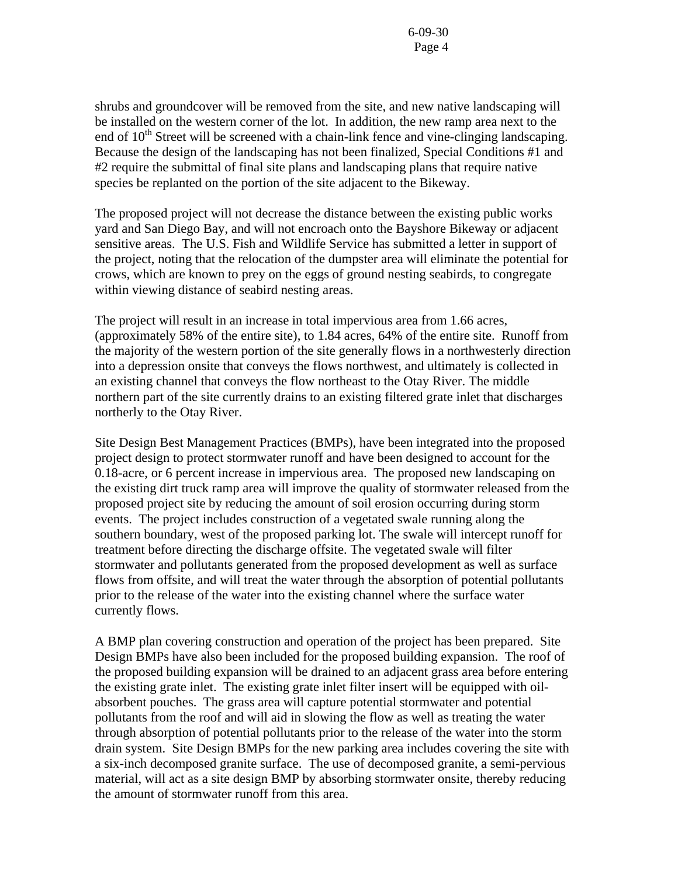shrubs and groundcover will be removed from the site, and new native landscaping will be installed on the western corner of the lot. In addition, the new ramp area next to the end of  $10<sup>th</sup>$  Street will be screened with a chain-link fence and vine-clinging landscaping. Because the design of the landscaping has not been finalized, Special Conditions #1 and #2 require the submittal of final site plans and landscaping plans that require native species be replanted on the portion of the site adjacent to the Bikeway.

The proposed project will not decrease the distance between the existing public works yard and San Diego Bay, and will not encroach onto the Bayshore Bikeway or adjacent sensitive areas. The U.S. Fish and Wildlife Service has submitted a letter in support of the project, noting that the relocation of the dumpster area will eliminate the potential for crows, which are known to prey on the eggs of ground nesting seabirds, to congregate within viewing distance of seabird nesting areas.

The project will result in an increase in total impervious area from 1.66 acres, (approximately 58% of the entire site), to 1.84 acres, 64% of the entire site. Runoff from the majority of the western portion of the site generally flows in a northwesterly direction into a depression onsite that conveys the flows northwest, and ultimately is collected in an existing channel that conveys the flow northeast to the Otay River. The middle northern part of the site currently drains to an existing filtered grate inlet that discharges northerly to the Otay River.

Site Design Best Management Practices (BMPs), have been integrated into the proposed project design to protect stormwater runoff and have been designed to account for the 0.18-acre, or 6 percent increase in impervious area. The proposed new landscaping on the existing dirt truck ramp area will improve the quality of stormwater released from the proposed project site by reducing the amount of soil erosion occurring during storm events. The project includes construction of a vegetated swale running along the southern boundary, west of the proposed parking lot. The swale will intercept runoff for treatment before directing the discharge offsite. The vegetated swale will filter stormwater and pollutants generated from the proposed development as well as surface flows from offsite, and will treat the water through the absorption of potential pollutants prior to the release of the water into the existing channel where the surface water currently flows.

A BMP plan covering construction and operation of the project has been prepared. Site Design BMPs have also been included for the proposed building expansion. The roof of the proposed building expansion will be drained to an adjacent grass area before entering the existing grate inlet. The existing grate inlet filter insert will be equipped with oilabsorbent pouches. The grass area will capture potential stormwater and potential pollutants from the roof and will aid in slowing the flow as well as treating the water through absorption of potential pollutants prior to the release of the water into the storm drain system. Site Design BMPs for the new parking area includes covering the site with a six-inch decomposed granite surface. The use of decomposed granite, a semi-pervious material, will act as a site design BMP by absorbing stormwater onsite, thereby reducing the amount of stormwater runoff from this area.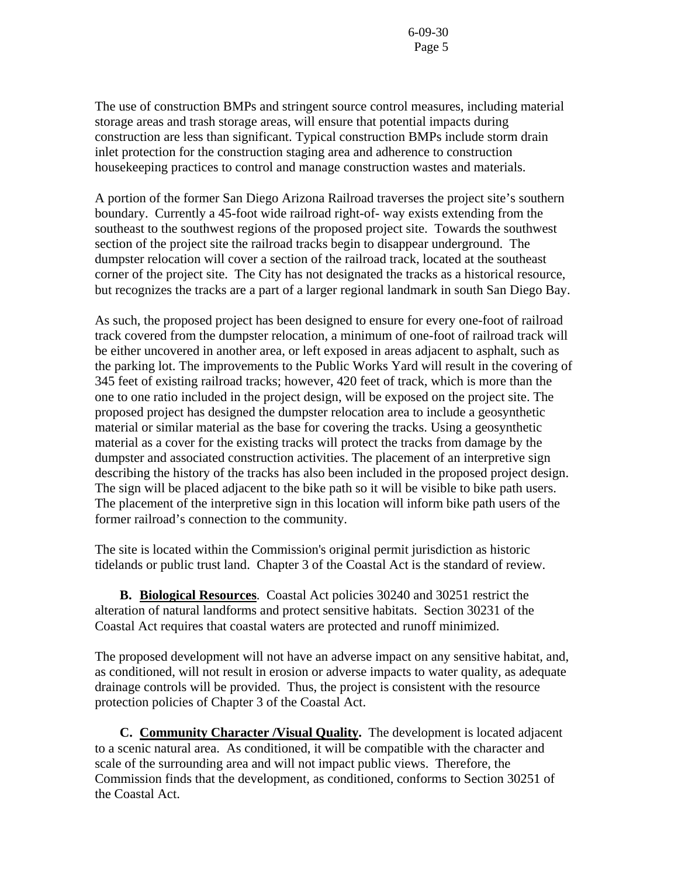The use of construction BMPs and stringent source control measures, including material storage areas and trash storage areas, will ensure that potential impacts during construction are less than significant. Typical construction BMPs include storm drain inlet protection for the construction staging area and adherence to construction housekeeping practices to control and manage construction wastes and materials.

A portion of the former San Diego Arizona Railroad traverses the project site's southern boundary. Currently a 45-foot wide railroad right-of- way exists extending from the southeast to the southwest regions of the proposed project site. Towards the southwest section of the project site the railroad tracks begin to disappear underground. The dumpster relocation will cover a section of the railroad track, located at the southeast corner of the project site. The City has not designated the tracks as a historical resource, but recognizes the tracks are a part of a larger regional landmark in south San Diego Bay.

As such, the proposed project has been designed to ensure for every one-foot of railroad track covered from the dumpster relocation, a minimum of one-foot of railroad track will be either uncovered in another area, or left exposed in areas adjacent to asphalt, such as the parking lot. The improvements to the Public Works Yard will result in the covering of 345 feet of existing railroad tracks; however, 420 feet of track, which is more than the one to one ratio included in the project design, will be exposed on the project site. The proposed project has designed the dumpster relocation area to include a geosynthetic material or similar material as the base for covering the tracks. Using a geosynthetic material as a cover for the existing tracks will protect the tracks from damage by the dumpster and associated construction activities. The placement of an interpretive sign describing the history of the tracks has also been included in the proposed project design. The sign will be placed adjacent to the bike path so it will be visible to bike path users. The placement of the interpretive sign in this location will inform bike path users of the former railroad's connection to the community.

The site is located within the Commission's original permit jurisdiction as historic tidelands or public trust land. Chapter 3 of the Coastal Act is the standard of review.

 **B. Biological Resources**. Coastal Act policies 30240 and 30251 restrict the alteration of natural landforms and protect sensitive habitats. Section 30231 of the Coastal Act requires that coastal waters are protected and runoff minimized.

The proposed development will not have an adverse impact on any sensitive habitat, and, as conditioned, will not result in erosion or adverse impacts to water quality, as adequate drainage controls will be provided. Thus, the project is consistent with the resource protection policies of Chapter 3 of the Coastal Act.

 **C. Community Character /Visual Quality.** The development is located adjacent to a scenic natural area. As conditioned, it will be compatible with the character and scale of the surrounding area and will not impact public views. Therefore, the Commission finds that the development, as conditioned, conforms to Section 30251 of the Coastal Act.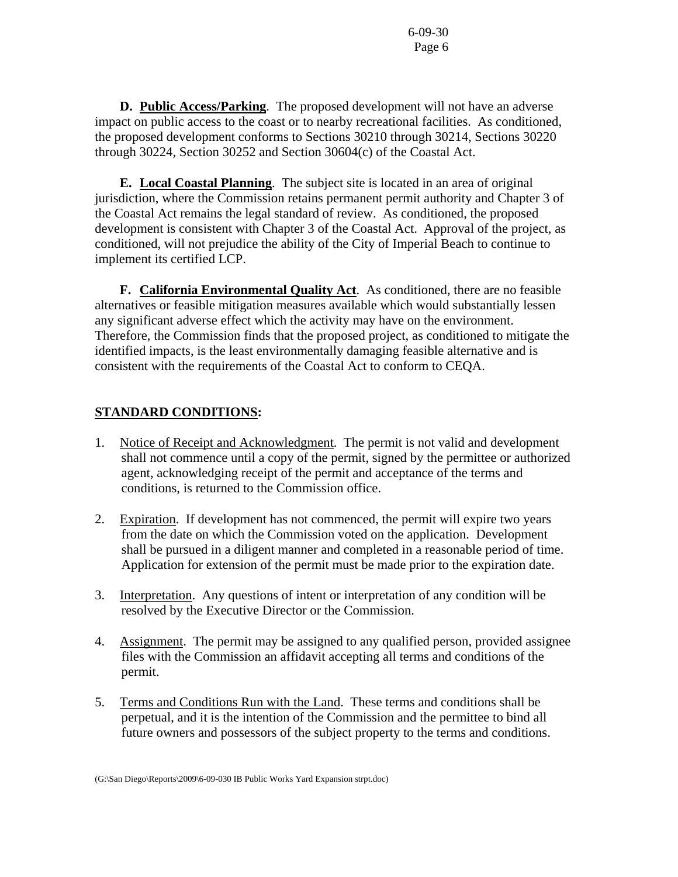**D. Public Access/Parking**. The proposed development will not have an adverse impact on public access to the coast or to nearby recreational facilities. As conditioned, the proposed development conforms to Sections 30210 through 30214, Sections 30220 through 30224, Section 30252 and Section 30604(c) of the Coastal Act.

 **E. Local Coastal Planning**. The subject site is located in an area of original jurisdiction, where the Commission retains permanent permit authority and Chapter 3 of the Coastal Act remains the legal standard of review. As conditioned, the proposed development is consistent with Chapter 3 of the Coastal Act. Approval of the project, as conditioned, will not prejudice the ability of the City of Imperial Beach to continue to implement its certified LCP.

 **F. California Environmental Quality Act**. As conditioned, there are no feasible alternatives or feasible mitigation measures available which would substantially lessen any significant adverse effect which the activity may have on the environment. Therefore, the Commission finds that the proposed project, as conditioned to mitigate the identified impacts, is the least environmentally damaging feasible alternative and is consistent with the requirements of the Coastal Act to conform to CEQA.

## **STANDARD CONDITIONS:**

- 1. Notice of Receipt and Acknowledgment. The permit is not valid and development shall not commence until a copy of the permit, signed by the permittee or authorized agent, acknowledging receipt of the permit and acceptance of the terms and conditions, is returned to the Commission office.
- 2. Expiration. If development has not commenced, the permit will expire two years from the date on which the Commission voted on the application. Development shall be pursued in a diligent manner and completed in a reasonable period of time. Application for extension of the permit must be made prior to the expiration date.
- 3. Interpretation. Any questions of intent or interpretation of any condition will be resolved by the Executive Director or the Commission.
- 4. Assignment. The permit may be assigned to any qualified person, provided assignee files with the Commission an affidavit accepting all terms and conditions of the permit.
- 5. Terms and Conditions Run with the Land. These terms and conditions shall be perpetual, and it is the intention of the Commission and the permittee to bind all future owners and possessors of the subject property to the terms and conditions.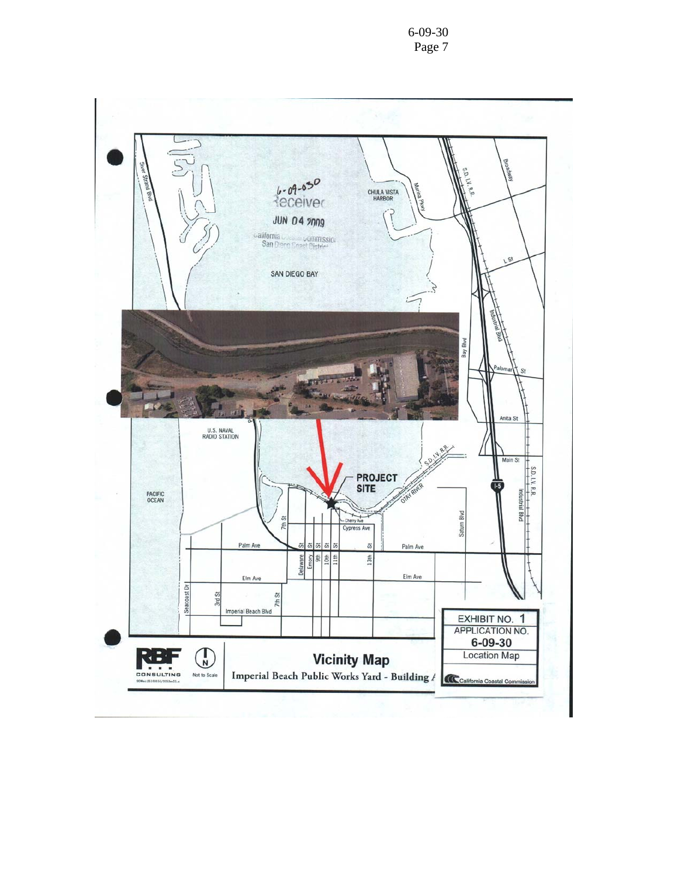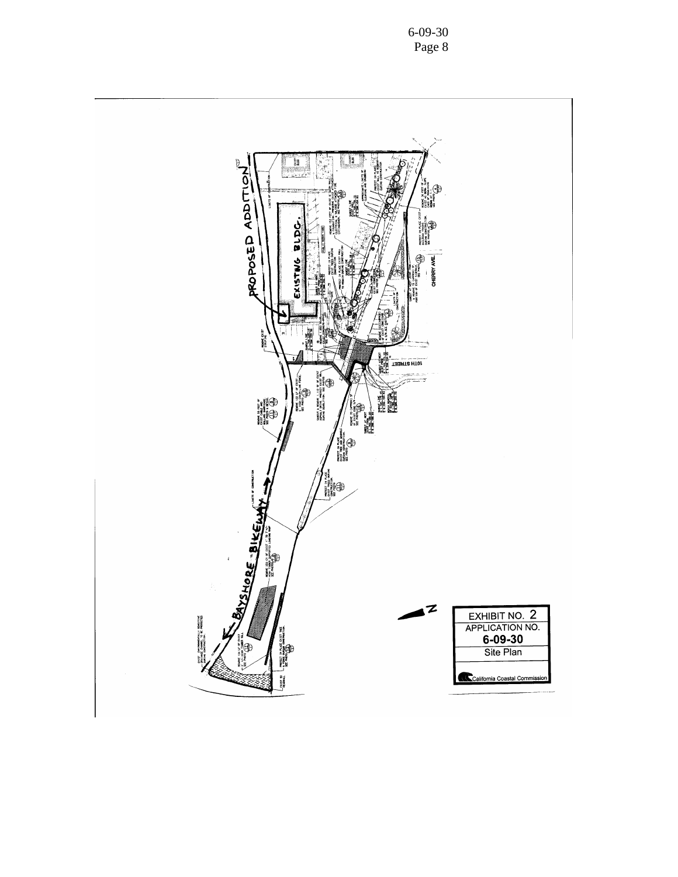